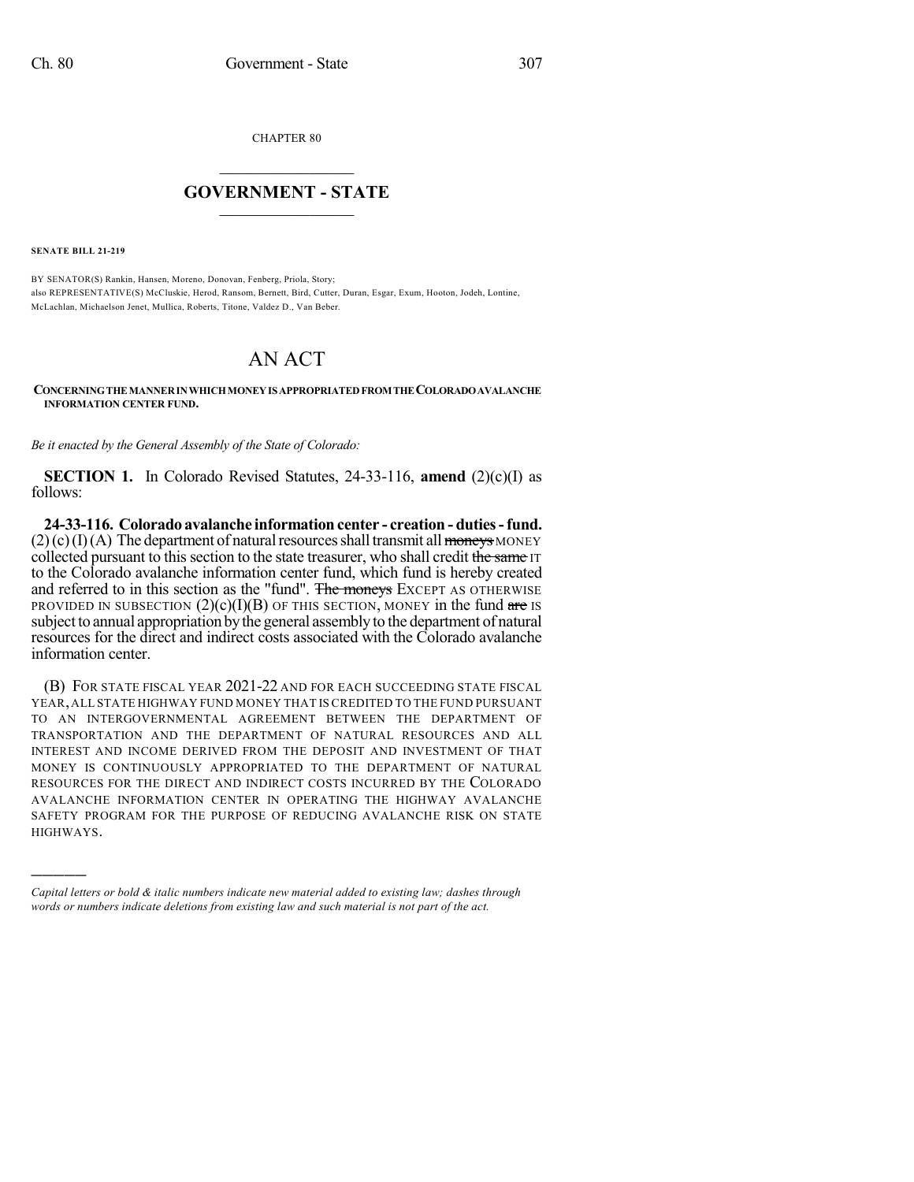CHAPTER 80

## $\overline{\phantom{a}}$  . The set of the set of the set of the set of the set of the set of the set of the set of the set of the set of the set of the set of the set of the set of the set of the set of the set of the set of the set o **GOVERNMENT - STATE**  $\_$

**SENATE BILL 21-219**

)))))

BY SENATOR(S) Rankin, Hansen, Moreno, Donovan, Fenberg, Priola, Story; also REPRESENTATIVE(S) McCluskie, Herod, Ransom, Bernett, Bird, Cutter, Duran, Esgar, Exum, Hooton, Jodeh, Lontine, McLachlan, Michaelson Jenet, Mullica, Roberts, Titone, Valdez D., Van Beber.

## AN ACT

## **CONCERNINGTHEMANNERINWHICHMONEYIS APPROPRIATEDFROMTHECOLORADOAVALANCHE INFORMATION CENTER FUND.**

*Be it enacted by the General Assembly of the State of Colorado:*

**SECTION 1.** In Colorado Revised Statutes, 24-33-116, **amend** (2)(c)(I) as follows:

**24-33-116. Colorado avalanche information center - creation - duties-fund.**  $(2)(c)(I)(A)$  The department of natural resources shall transmit all moneys MONEY collected pursuant to this section to the state treasurer, who shall credit the same IT to the Colorado avalanche information center fund, which fund is hereby created and referred to in this section as the "fund". The moneys EXCEPT AS OTHERWISE PROVIDED IN SUBSECTION  $(2)(c)(I)(B)$  OF THIS SECTION, MONEY in the fund are IS subject to annual appropriation bythe general assemblyto the department of natural resources for the direct and indirect costs associated with the Colorado avalanche information center.

(B) FOR STATE FISCAL YEAR 2021-22 AND FOR EACH SUCCEEDING STATE FISCAL YEAR,ALL STATE HIGHWAY FUND MONEY THAT IS CREDITED TO THE FUND PURSUANT TO AN INTERGOVERNMENTAL AGREEMENT BETWEEN THE DEPARTMENT OF TRANSPORTATION AND THE DEPARTMENT OF NATURAL RESOURCES AND ALL INTEREST AND INCOME DERIVED FROM THE DEPOSIT AND INVESTMENT OF THAT MONEY IS CONTINUOUSLY APPROPRIATED TO THE DEPARTMENT OF NATURAL RESOURCES FOR THE DIRECT AND INDIRECT COSTS INCURRED BY THE COLORADO AVALANCHE INFORMATION CENTER IN OPERATING THE HIGHWAY AVALANCHE SAFETY PROGRAM FOR THE PURPOSE OF REDUCING AVALANCHE RISK ON STATE HIGHWAYS.

*Capital letters or bold & italic numbers indicate new material added to existing law; dashes through words or numbers indicate deletions from existing law and such material is not part of the act.*